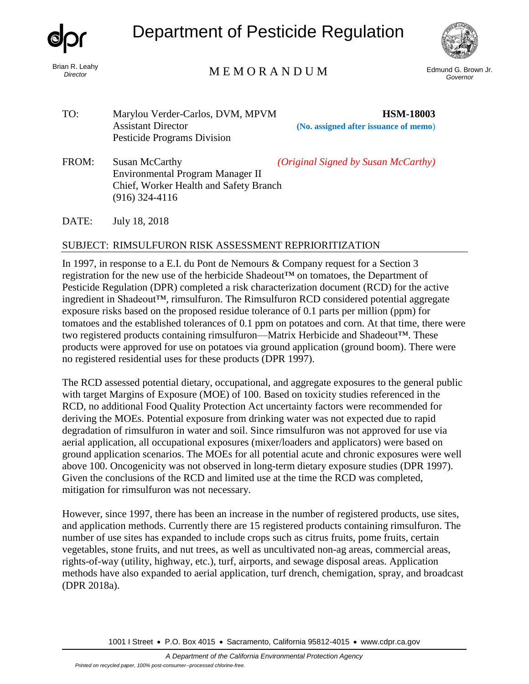

*Director*

# Department of Pesticide Regulation



## Edmund G. Brown Jr. M E M O R A N D U M *Governor*

- TO: Marylou Verder-Carlos, DVM, MPVM **HSM-18003** Assistant Director **(No. assigned after issuance of memo**) Pesticide Programs Division
- FROM: Susan McCarthy *(Original Signed by Susan McCarthy)* Environmental Program Manager II Chief, Worker Health and Safety Branch (916) 324-4116

DATE: July 18, 2018

### SUBJECT: RIMSULFURON RISK ASSESSMENT REPRIORITIZATION

In 1997, in response to a E.I. du Pont de Nemours & Company request for a Section 3 registration for the new use of the herbicide Shadeout™ on tomatoes, the Department of Pesticide Regulation (DPR) completed a risk characterization document (RCD) for the active ingredient in Shadeout™, rimsulfuron. The Rimsulfuron RCD considered potential aggregate exposure risks based on the proposed residue tolerance of 0.1 parts per million (ppm) for tomatoes and the established tolerances of 0.1 ppm on potatoes and corn. At that time, there were two registered products containing rimsulfuron—Matrix Herbicide and Shadeout™. These products were approved for use on potatoes via ground application (ground boom). There were no registered residential uses for these products (DPR 1997).

The RCD assessed potential dietary, occupational, and aggregate exposures to the general public with target Margins of Exposure (MOE) of 100. Based on toxicity studies referenced in the RCD, no additional Food Quality Protection Act uncertainty factors were recommended for deriving the MOEs. Potential exposure from drinking water was not expected due to rapid degradation of rimsulfuron in water and soil. Since rimsulfuron was not approved for use via aerial application, all occupational exposures (mixer/loaders and applicators) were based on ground application scenarios. The MOEs for all potential acute and chronic exposures were well above 100. Oncogenicity was not observed in long-term dietary exposure studies (DPR 1997). Given the conclusions of the RCD and limited use at the time the RCD was completed, mitigation for rimsulfuron was not necessary.

However, since 1997, there has been an increase in the number of registered products, use sites, and application methods. Currently there are 15 registered products containing rimsulfuron. The number of use sites has expanded to include crops such as citrus fruits, pome fruits, certain vegetables, stone fruits, and nut trees, as well as uncultivated non-ag areas, commercial areas, rights-of-way (utility, highway, etc.), turf, airports, and sewage disposal areas. Application methods have also expanded to aerial application, turf drench, chemigation, spray, and broadcast (DPR 2018a).

1001 I Street • P.O. Box 4015 • Sacramento, California 95812-4015 • [www.cdpr.ca.gov](http://www.cdpr.ca.gov/)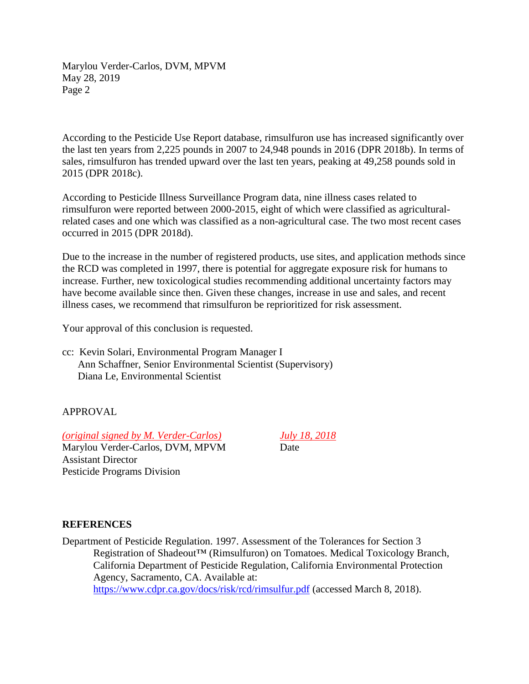Marylou Verder-Carlos, DVM, MPVM May 28, 2019 Page 2

According to the Pesticide Use Report database, rimsulfuron use has increased significantly over the last ten years from 2,225 pounds in 2007 to 24,948 pounds in 2016 (DPR 2018b). In terms of sales, rimsulfuron has trended upward over the last ten years, peaking at 49,258 pounds sold in 2015 (DPR 2018c).

According to Pesticide Illness Surveillance Program data, nine illness cases related to rimsulfuron were reported between 2000-2015, eight of which were classified as agriculturalrelated cases and one which was classified as a non-agricultural case. The two most recent cases occurred in 2015 (DPR 2018d).

Due to the increase in the number of registered products, use sites, and application methods since the RCD was completed in 1997, there is potential for aggregate exposure risk for humans to increase. Further, new toxicological studies recommending additional uncertainty factors may have become available since then. Given these changes, increase in use and sales, and recent illness cases, we recommend that rimsulfuron be reprioritized for risk assessment.

Your approval of this conclusion is requested.

cc: Kevin Solari, Environmental Program Manager I Ann Schaffner, Senior Environmental Scientist (Supervisory) Diana Le, Environmental Scientist

### APPROVAL

*(original signed by M. Verder-Carlos) July 18, 2018* Marylou Verder-Carlos, DVM, MPVM Date Assistant Director

Pesticide Programs Division

#### **REFERENCES**

Department of Pesticide Regulation. 1997. Assessment of the Tolerances for Section 3 Registration of Shadeout™ (Rimsulfuron) on Tomatoes. Medical Toxicology Branch, California Department of Pesticide Regulation, California Environmental Protection Agency, Sacramento, CA. Available at: <https://www.cdpr.ca.gov/docs/risk/rcd/rimsulfur.pdf> (accessed March 8, 2018).